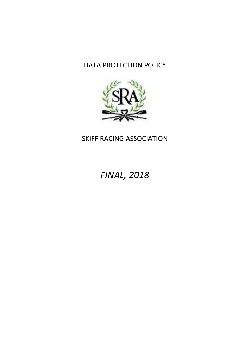## DATA PROTECTION POLICY



## SKIFF RACING ASSOCIATION

# *FINAL, 2018*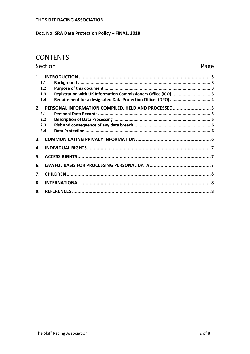#### Doc. No: SRA Data Protection Policy - FINAL, 2018

### **CONTENTS**

#### Section Page  $1.1$  $1.2$  $1.3$ Registration with UK Information Commissioners Office (ICO).............................. 3  $1.4$ Requirement for a designated Data Protection Officer (DPO) ................................. 4 2. PERSONAL INFORMATION COMPILED, HELD AND PROCESSED...........................5  $21$  $2.2$  $2.3$  $2.4$  $3<sub>1</sub>$  $\mathbf{A}$ 5. 6.  $\overline{7}$ . 8.  $\mathbf{q}$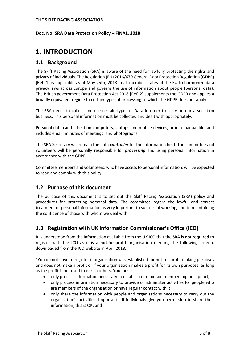#### **Doc. No: SRA Data Protection Policy – FINAL, 2018**

### <span id="page-2-0"></span>**1. INTRODUCTION**

#### <span id="page-2-1"></span>**1.1 Background**

The Skiff Racing Association (SRA) is aware of the need for lawfully protecting the rights and privacy of individuals. The Regulation (EU) 2016/679 General Data Protection Regulation (GDPR) [\[Ref. 1\]](#page-7-3) is applicable as of May 25th, 2018 in all member states of the EU to harmonize data privacy laws across Europe and governs the use of information about people (personal data). The British government Data Protection Act 2018 [\[Ref. 2\]](#page-7-4) supplements the GDPR and applies a broadly equivalent regime to certain types of processing to which the GDPR does not apply.

The SRA needs to collect and use certain types of Data in order to carry on our association business. This personal information must be collected and dealt with appropriately.

Personal data can be held on computers, laptops and mobile devices, or in a manual file, and includes email, minutes of meetings, and photographs.

The SRA Secretary will remain the data *controller* for the information held. The committee and volunteers will be personally responsible for *processing* and using personal information in accordance with the GDPR.

Committee members and volunteers, who have access to personal information, will be expected to read and comply with this policy.

#### <span id="page-2-2"></span>**1.2 Purpose of this document**

The purpose of this document is to set out the Skiff Racing Association (SRA) policy and procedures for protecting personal data. The committee regard the lawful and correct treatment of personal information as very important to successful working, and to maintaining the confidence of those with whom we deal with.

#### <span id="page-2-3"></span>**1.3 Registration with UK Information Commissioner's Office (ICO)**

It is understood from the information available from the UK ICO that the SRA **is not required** to register with the ICO as it is a **not-for-profit** organisation meeting the following criteria, downloaded from the ICO website in April 2018.

"You do not have to register if organisation was established for not-for-profit making purposes and does not make a profit or if your organisation makes a profit for its own purposes, as long as the profit is not used to enrich others. You must:

- only process information necessary to establish or maintain membership or support;
- only process information necessary to provide or administer activities for people who are members of the organisation or have regular contact with it;
- only share the information with people and organisations necessary to carry out the organisation's activities. Important - if individuals give you permission to share their information, this is OK; and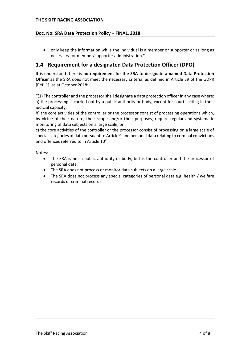#### **Doc. No: SRA Data Protection Policy – FINAL, 2018**

• only keep the information while the individual is a member or supporter or as long as necessary for member/supporter administration."

#### <span id="page-3-0"></span>**1.4 Requirement for a designated Data Protection Officer (DPO)**

It is understood there is **no requirement for the SRA to designate a named Data Protection Officer** as the SRA does not meet the necessary criteria, as defined in Article 39 of the GDPR [\[Ref. 1\]](#page-7-3), as at October 2018:

"(1) The controller and the processor shall designate a data protection officer in any case where: a) the processing is carried out by a public authority or body, except for courts acting in their judicial capacity;

b) the core activities of the controller or the processor consist of processing operations which, by virtue of their nature, their scope and/or their purposes, require regular and systematic monitoring of data subjects on a large scale; or

c) the core activities of the controller or the processor consist of processing on a large scale of special categories of data pursuant to Article 9 and personal data relating to criminal convictions and offences referred to in Article 10"

Notes:

- The SRA is not a public authority or body, but is the controller and the processor of personal data.
- The SRA does not process or monitor data subjects on a large scale
- The SRA does not process any special categories of personal data e.g. health / welfare records or criminal records.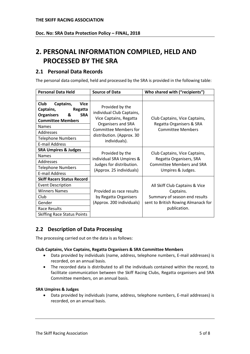## <span id="page-4-0"></span>**2. PERSONAL INFORMATION COMPILED, HELD AND PROCESSED BY THE SRA**

#### <span id="page-4-1"></span>**2.1 Personal Data Records**

The personal data compiled, held and processed by the SRA is provided in the following table:

| <b>Personal Data Held</b>                                                                                                                                                                                      | <b>Source of Data</b>                                                                                                                                                      | Who shared with ("recipients")                                                                                    |
|----------------------------------------------------------------------------------------------------------------------------------------------------------------------------------------------------------------|----------------------------------------------------------------------------------------------------------------------------------------------------------------------------|-------------------------------------------------------------------------------------------------------------------|
|                                                                                                                                                                                                                |                                                                                                                                                                            |                                                                                                                   |
| <b>Club</b><br>Captains,<br>Vice<br>Captains,<br>Regatta<br><b>SRA</b><br><b>Organisers</b><br>&<br><b>Committee Members</b><br><b>Names</b><br>Addresses<br><b>Telephone Numbers</b><br><b>E-mail Address</b> | Provided by the<br>individual Club Captains,<br>Vice Captains, Regatta<br>Organisers and SRA<br><b>Committee Members for</b><br>distribution. (Approx. 30<br>individuals). | Club Captains, Vice Captains,<br>Regatta Organisers & SRA<br><b>Committee Members</b>                             |
| <b>SRA Umpires &amp; Judges</b>                                                                                                                                                                                | Provided by the<br>individual SRA Umpires &<br>Judges for distribution.<br>(Approx. 25 individuals)                                                                        | Club Captains, Vice Captains,<br>Regatta Organisers, SRA<br><b>Committee Members and SRA</b><br>Umpires & Judges. |
| <b>Names</b>                                                                                                                                                                                                   |                                                                                                                                                                            |                                                                                                                   |
| Addresses                                                                                                                                                                                                      |                                                                                                                                                                            |                                                                                                                   |
| <b>Telephone Numbers</b>                                                                                                                                                                                       |                                                                                                                                                                            |                                                                                                                   |
| E-mail Address                                                                                                                                                                                                 |                                                                                                                                                                            |                                                                                                                   |
| <b>Skiff Racers Status Record</b>                                                                                                                                                                              | Provided as race results                                                                                                                                                   | All Skiff Club Captains & Vice<br>Captains.                                                                       |
| <b>Event Description</b>                                                                                                                                                                                       |                                                                                                                                                                            |                                                                                                                   |
| <b>Winners Names</b>                                                                                                                                                                                           |                                                                                                                                                                            |                                                                                                                   |
| Club                                                                                                                                                                                                           | by Regatta Organisers                                                                                                                                                      | Summary of season end results                                                                                     |
| Gender                                                                                                                                                                                                         | (Approx. 200 individuals)                                                                                                                                                  | sent to British Rowing Almanack for                                                                               |
| Race Results                                                                                                                                                                                                   |                                                                                                                                                                            | publication.                                                                                                      |
| <b>Skiffing Race Status Points</b>                                                                                                                                                                             |                                                                                                                                                                            |                                                                                                                   |

#### <span id="page-4-2"></span>**2.2 Description of Data Processing**

The processing carried out on the data is as follows:

#### **Club Captains, Vice Captains, Regatta Organisers & SRA Committee Members**

- Data provided by individuals (name, address, telephone numbers, E-mail addresses) is recorded, on an annual basis.
- The recorded data is distributed to all the individuals contained within the record, to facilitate communication between the Skiff Racing Clubs, Regatta organisers and SRA Committee members, on an annual basis.

#### **SRA Umpires & Judges**

• Data provided by individuals (name, address, telephone numbers, E-mail addresses) is recorded, on an annual basis.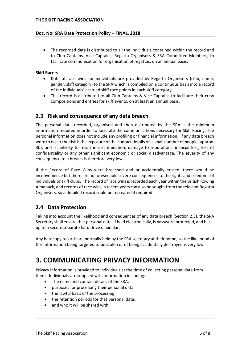#### **Doc. No: SRA Data Protection Policy – FINAL, 2018**

• The recorded data is distributed to all the individuals contained within the record and to Club Captains, Vice Captains, Regatta Organisers & SRA Committee Members, to facilitate communication for organisation of regattas, on an annual basis.

#### **Skiff Racers**

- Data of race wins for individuals are provided by Regatta Organisers (club, name, gender, skiff category) to the SRA which is compiled on a continuous basis into a record of the individuals' accrued skiff race points in each skiff category.
- This record is distributed to all Club Captains & Vice Captains to facilitate their crew compositions and entries for skiff events, on at least an annual basis.

#### <span id="page-5-0"></span>**2.3 Risk and consequence of any data breach**

The personal data recorded, organised and then distributed by the SRA is the minimum information required in order to facilitate the communications necessary for Skiff Racing. The personal information does not include any profiling or financial information. If any data breach were to occur the risk is the exposure of the contact details of a small number of people (approx. 30), and is unlikely to result in discrimination, damage to reputation, financial loss, loss of confidentiality or any other significant economic or social disadvantage. The severity of any consequence to a breach is therefore very low.

If the Record of Race Wins were breached and or accidentally erased, there would be inconvenience but there are no foreseeable severe consequences to the rights and freedoms of individuals or skiff clubs. The record of race wins is recorded each year within the British Rowing Almanack, and records of race wins in recent years can also be sought from the relevant Regatta Organisers, so a detailed record could be recreated if required.

#### <span id="page-5-1"></span>**2.4 Data Protection**

Taking into account the likelihood and consequences of any data breach (Section [2.3\)](#page-5-0), the SRA Secretary shall ensure that personal data, if held electronically, is password protected, and backup to a secure separate hard drive or similar.

Any hardcopy records are normally held by the SRA secretary at their home, so the likelihood of this information being targeted to be stolen or of being accidentally destroyed is very low.

## <span id="page-5-2"></span>**3. COMMUNICATING PRIVACY INFORMATION**

Privacy information is provided to individuals at the time of collecting personal data from them. Individuals are supplied with information including:

- The name and contact details of the SRA,
- purposes for processing their personal data,
- the lawful basis of the processing
- the retention periods for that personal data,
- and who it will be shared with.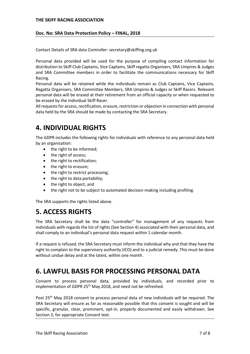#### **Doc. No: SRA Data Protection Policy – FINAL, 2018**

Contact Details of SRA data Controller: secretary@skiffing.org.uk

Personal data provided will be used for the purpose of compiling contact information for distribution to Skiff Club Captains, Vice Captains, Skiff regatta Organisers, SRA Umpires & Judges and SRA Committee members in order to facilitate the communications necessary for Skiff Racing.

Personal data will be retained while the individuals remain as Club Captains, Vice Captains, Regatta Organisers, SRA Committee Members, SRA Umpires & Judges or Skiff Racers. Relevant personal data will be erased at their retirement from an official capacity or when requested to be erased by the individual Skiff Racer.

All requestsfor access, rectification, erasure, restriction or objection in connection with personal data held by the SRA should be made by contacting the SRA Secretary.

### <span id="page-6-0"></span>**4. INDIVIDUAL RIGHTS**

The GDPR includes the following rights for individuals with reference to any personal data held by an organisation:

- the right to be informed;
- the right of access:
- the right to rectification;
- the right to erasure;
- the right to restrict processing;
- the right to data portability;
- the right to object; and
- the right not to be subject to automated decision-making including profiling.

The SRA supports the rights listed above.

## <span id="page-6-1"></span>**5. ACCESS RIGHTS**

The SRA Secretary shall be the data "controller" for management of any requests from individuals with regards the list of rights (See Sectio[n 4\)](#page-6-0) associated with their personal data, and shall comply to an individual's personal data request within 1 calendar month.

If a request is refused, the SRA Secretary must inform the individual why and that they have the right to complain to the supervisory authority (ICO) and to a judicial remedy. This must be done without undue delay and at the latest, within one month.

## <span id="page-6-2"></span>**6. LAWFUL BASIS FOR PROCESSING PERSONAL DATA**

Consent to process personal data, provided by individuals, and recorded prior to implementation of GDPR 25<sup>th</sup> May 2018, and need not be refreshed.

Post 25<sup>th</sup> May 2018 consent to process personal data of new individuals will be required. The SRA Secretary will ensure as far as reasonable possible that this consent is sought and will be specific, granular, clear, prominent, opt-in, properly documented and easily withdrawn. See Sectio[n 3,](#page-5-2) for appropriate Consent text.